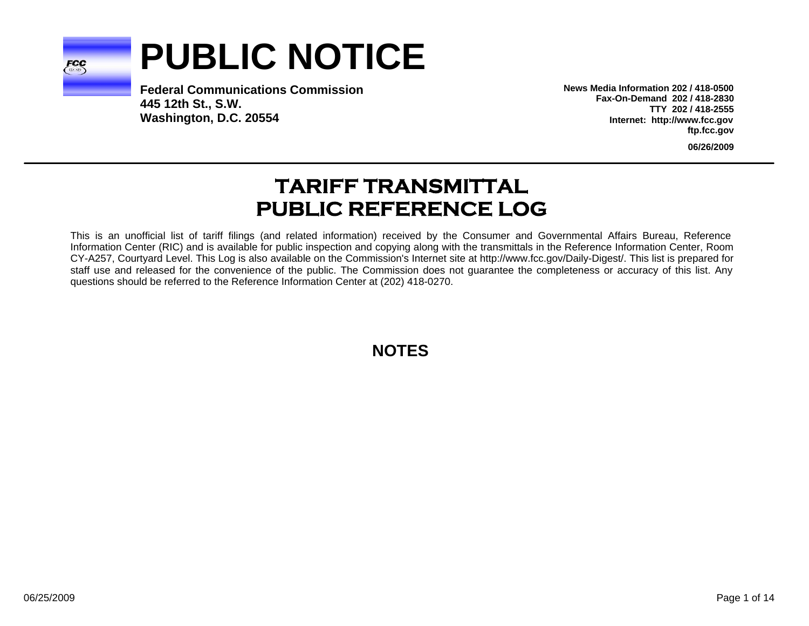

# **PUBLIC NOTICE**

**Federal Communications Commission445 12th St., S.W. Washington, D.C. 20554**

**News Media Information 202 / 418-0500Fax-On-Demand 202 / 418-2830TTY 202 / 418-2555Internet: http://www.fcc.gov ftp.fcc.gov**

**06/26/2009**

# **TARIFF TRANSMITTAL PUBLIC REFERENCE LOG**

This is an unofficial list of tariff filings (and related information) received by the Consumer and Governmental Affairs Bureau, Reference Information Center (RIC) and is available for public inspection and copying along with the transmittals in the Reference Information Center, Room CY-A257, Courtyard Level. This Log is also available on the Commission's Internet site at http://www.fcc.gov/Daily-Digest/. This list is prepared for staff use and released for the convenience of the public. The Commission does not guarantee the completeness or accuracy of this list. Any questions should be referred to the Reference Information Center at (202) 418-0270.

**NOTES**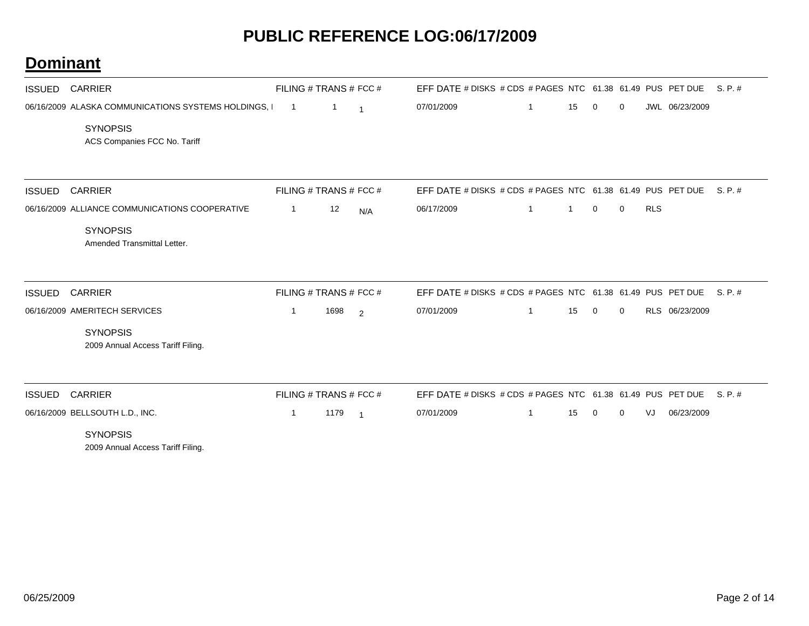| <b>ISSUED</b> | <b>CARRIER</b>                                       | FILING # TRANS # FCC # |      |                | EFF DATE # DISKS # CDS # PAGES NTC 61.38 61.49 PUS PET DUE |   |              |             |   |            |                | S. P. # |
|---------------|------------------------------------------------------|------------------------|------|----------------|------------------------------------------------------------|---|--------------|-------------|---|------------|----------------|---------|
|               | 06/16/2009 ALASKA COMMUNICATIONS SYSTEMS HOLDINGS, I | $\overline{1}$         | 1    | $\overline{1}$ | 07/01/2009                                                 | 1 | 15           | 0           | 0 |            | JWL 06/23/2009 |         |
|               | <b>SYNOPSIS</b><br>ACS Companies FCC No. Tariff      |                        |      |                |                                                            |   |              |             |   |            |                |         |
| <b>ISSUED</b> | <b>CARRIER</b>                                       | FILING # TRANS # FCC # |      |                | EFF DATE # DISKS # CDS # PAGES NTC 61.38 61.49 PUS PET DUE |   |              |             |   |            |                | S. P. # |
|               | 06/16/2009 ALLIANCE COMMUNICATIONS COOPERATIVE       | $\mathbf{1}$           | 12   | N/A            | 06/17/2009                                                 | 1 | $\mathbf{1}$ | 0           | 0 | <b>RLS</b> |                |         |
|               | <b>SYNOPSIS</b><br>Amended Transmittal Letter.       |                        |      |                |                                                            |   |              |             |   |            |                |         |
| <b>ISSUED</b> | <b>CARRIER</b>                                       | FILING # TRANS # FCC # |      |                | EFF DATE # DISKS # CDS # PAGES NTC 61.38 61.49 PUS PET DUE |   |              |             |   |            |                | S. P. # |
|               | 06/16/2009 AMERITECH SERVICES                        | 1                      | 1698 | $\overline{2}$ | 07/01/2009                                                 | 1 | 15           | $\mathbf 0$ | 0 |            | RLS 06/23/2009 |         |
|               | <b>SYNOPSIS</b><br>2009 Annual Access Tariff Filing. |                        |      |                |                                                            |   |              |             |   |            |                |         |
| <b>ISSUED</b> | <b>CARRIER</b>                                       | FILING # TRANS # FCC # |      |                | EFF DATE # DISKS # CDS # PAGES NTC 61.38 61.49 PUS PET DUE |   |              |             |   |            |                | S. P. # |
|               | 06/16/2009 BELLSOUTH L.D., INC.                      | $\mathbf{1}$           | 1179 | $\overline{1}$ | 07/01/2009                                                 | 1 | 15           | 0           | 0 | VJ         | 06/23/2009     |         |
|               | <b>SYNOPSIS</b><br>2009 Annual Access Tariff Filing. |                        |      |                |                                                            |   |              |             |   |            |                |         |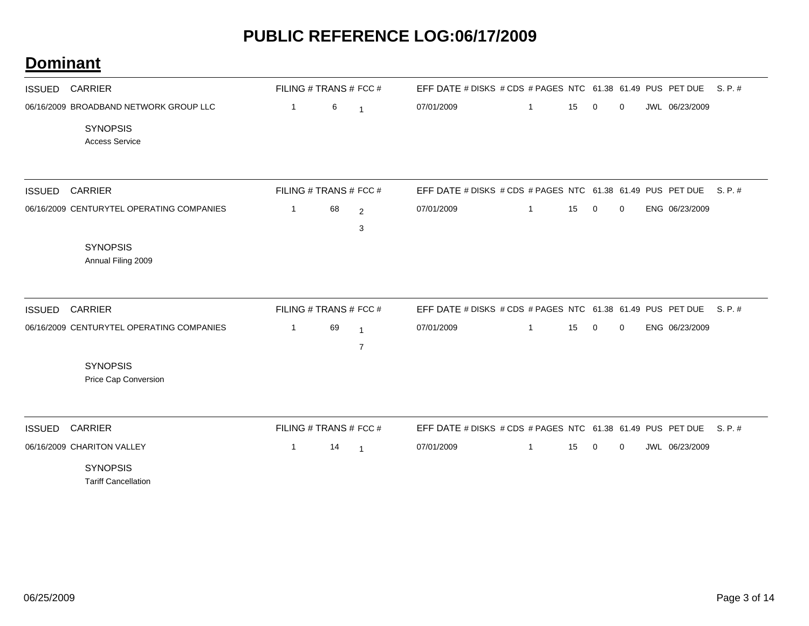| <b>ISSUED</b> | <b>CARRIER</b>                                                                     | FILING # TRANS # FCC # |    |                                  | EFF DATE # DISKS # CDS # PAGES NTC 61.38 61.49 PUS PET DUE |              |    |             |             |                | S. P. # |
|---------------|------------------------------------------------------------------------------------|------------------------|----|----------------------------------|------------------------------------------------------------|--------------|----|-------------|-------------|----------------|---------|
|               | 06/16/2009 BROADBAND NETWORK GROUP LLC<br><b>SYNOPSIS</b><br><b>Access Service</b> | 1                      | 6  | $\overline{1}$                   | 07/01/2009                                                 | -1           | 15 | 0           | 0           | JWL 06/23/2009 |         |
| <b>ISSUED</b> | <b>CARRIER</b>                                                                     | FILING # TRANS # FCC # |    |                                  | EFF DATE # DISKS # CDS # PAGES NTC 61.38 61.49 PUS PET DUE |              |    |             |             |                | S. P. # |
|               | 06/16/2009 CENTURYTEL OPERATING COMPANIES                                          | $\mathbf{1}$           | 68 | $\overline{2}$<br>3              | 07/01/2009                                                 | 1            | 15 | $\mathbf 0$ | 0           | ENG 06/23/2009 |         |
|               | <b>SYNOPSIS</b><br>Annual Filing 2009                                              |                        |    |                                  |                                                            |              |    |             |             |                |         |
| <b>ISSUED</b> | <b>CARRIER</b>                                                                     | FILING # TRANS # FCC # |    |                                  | EFF DATE # DISKS # CDS # PAGES NTC 61.38 61.49 PUS PET DUE |              |    |             |             |                | S. P. # |
|               | 06/16/2009 CENTURYTEL OPERATING COMPANIES                                          | $\mathbf{1}$           | 69 | $\overline{1}$<br>$\overline{7}$ | 07/01/2009                                                 | $\mathbf{1}$ | 15 | $\mathbf 0$ | 0           | ENG 06/23/2009 |         |
|               | <b>SYNOPSIS</b><br>Price Cap Conversion                                            |                        |    |                                  |                                                            |              |    |             |             |                |         |
| <b>ISSUED</b> | <b>CARRIER</b>                                                                     | FILING # TRANS # FCC # |    |                                  | EFF DATE # DISKS # CDS # PAGES NTC 61.38 61.49 PUS PET DUE |              |    |             |             |                | S. P. # |
|               | 06/16/2009 CHARITON VALLEY<br><b>SYNOPSIS</b><br><b>Tariff Cancellation</b>        | $\mathbf{1}$           | 14 | $\overline{1}$                   | 07/01/2009                                                 | $\mathbf{1}$ | 15 | $\mathbf 0$ | $\mathbf 0$ | JWL 06/23/2009 |         |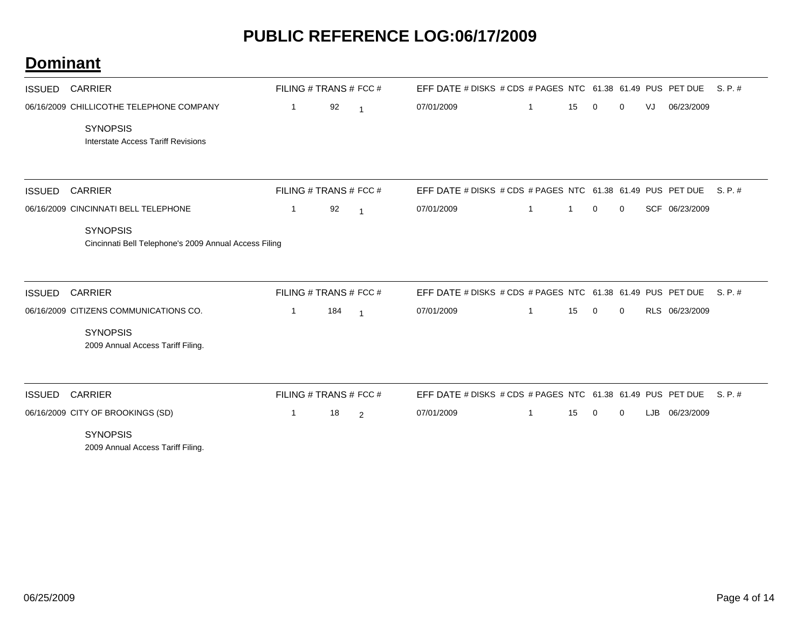| <b>ISSUED</b> | <b>CARRIER</b>                                                           | FILING # TRANS # FCC # |     |                | EFF DATE # DISKS # CDS # PAGES NTC 61.38 61.49 PUS PET DUE |   |    |             |             |    |                | S.P.#   |
|---------------|--------------------------------------------------------------------------|------------------------|-----|----------------|------------------------------------------------------------|---|----|-------------|-------------|----|----------------|---------|
|               | 06/16/2009 CHILLICOTHE TELEPHONE COMPANY                                 | 1                      | 92  | $\overline{1}$ | 07/01/2009                                                 | 1 | 15 | 0           | 0           | VJ | 06/23/2009     |         |
|               | <b>SYNOPSIS</b><br><b>Interstate Access Tariff Revisions</b>             |                        |     |                |                                                            |   |    |             |             |    |                |         |
| <b>ISSUED</b> | <b>CARRIER</b>                                                           | FILING # TRANS # FCC # |     |                | EFF DATE # DISKS # CDS # PAGES NTC 61.38 61.49 PUS PET DUE |   |    |             |             |    |                | S. P. # |
|               | 06/16/2009 CINCINNATI BELL TELEPHONE                                     | $\mathbf{1}$           | 92  | $\overline{1}$ | 07/01/2009                                                 | 1 | 1  | 0           | 0           |    | SCF 06/23/2009 |         |
|               | <b>SYNOPSIS</b><br>Cincinnati Bell Telephone's 2009 Annual Access Filing |                        |     |                |                                                            |   |    |             |             |    |                |         |
| <b>ISSUED</b> | <b>CARRIER</b>                                                           | FILING # TRANS # FCC # |     |                | EFF DATE # DISKS # CDS # PAGES NTC 61.38 61.49 PUS PET DUE |   |    |             |             |    |                | S.P.#   |
|               | 06/16/2009 CITIZENS COMMUNICATIONS CO.                                   | 1                      | 184 | $\overline{1}$ | 07/01/2009                                                 | 1 | 15 | $\mathbf 0$ | $\mathbf 0$ |    | RLS 06/23/2009 |         |
|               | <b>SYNOPSIS</b><br>2009 Annual Access Tariff Filing.                     |                        |     |                |                                                            |   |    |             |             |    |                |         |
| <b>ISSUED</b> | <b>CARRIER</b>                                                           | FILING # TRANS # FCC # |     |                | EFF DATE # DISKS # CDS # PAGES NTC 61.38 61.49 PUS PET DUE |   |    |             |             |    |                | S. P. # |
|               | 06/16/2009 CITY OF BROOKINGS (SD)                                        | 1                      | 18  | 2              | 07/01/2009                                                 | 1 | 15 | 0           | 0           |    | LJB 06/23/2009 |         |
|               | <b>SYNOPSIS</b><br>2009 Annual Access Tariff Filing.                     |                        |     |                |                                                            |   |    |             |             |    |                |         |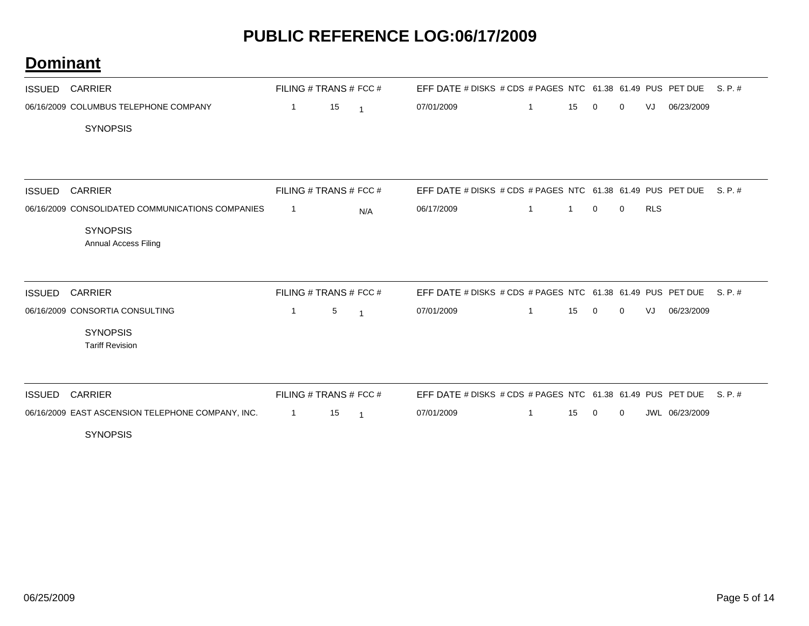| <b>ISSUED</b> | <b>CARRIER</b>                                    |                        | FILING # TRANS # FCC # |                | EFF DATE # DISKS # CDS # PAGES NTC 61.38 61.49 PUS PET DUE         |             |              |             |              |            |                | S.P.#   |
|---------------|---------------------------------------------------|------------------------|------------------------|----------------|--------------------------------------------------------------------|-------------|--------------|-------------|--------------|------------|----------------|---------|
|               | 06/16/2009 COLUMBUS TELEPHONE COMPANY             | $\mathbf{1}$           | 15                     | $\overline{1}$ | 07/01/2009                                                         | 1           | 15           | 0           | 0            | VJ         | 06/23/2009     |         |
|               | <b>SYNOPSIS</b>                                   |                        |                        |                |                                                                    |             |              |             |              |            |                |         |
|               |                                                   |                        |                        |                |                                                                    |             |              |             |              |            |                |         |
|               |                                                   |                        |                        |                |                                                                    |             |              |             |              |            |                |         |
| <b>ISSUED</b> | <b>CARRIER</b>                                    |                        | FILING # TRANS # FCC # |                | EFF DATE # DISKS # CDS # PAGES NTC 61.38 61.49 PUS PET DUE S. P. # |             |              |             |              |            |                |         |
|               | 06/16/2009 CONSOLIDATED COMMUNICATIONS COMPANIES  | -1                     |                        | N/A            | 06/17/2009                                                         | $\mathbf 1$ | $\mathbf{1}$ | $\mathbf 0$ | $\mathbf{0}$ | <b>RLS</b> |                |         |
|               | <b>SYNOPSIS</b>                                   |                        |                        |                |                                                                    |             |              |             |              |            |                |         |
|               | <b>Annual Access Filing</b>                       |                        |                        |                |                                                                    |             |              |             |              |            |                |         |
|               |                                                   |                        |                        |                |                                                                    |             |              |             |              |            |                |         |
| <b>ISSUED</b> | <b>CARRIER</b>                                    | FILING # TRANS # FCC # |                        |                | EFF DATE # DISKS # CDS # PAGES NTC 61.38 61.49 PUS PET DUE         |             |              |             |              |            |                | S. P. # |
|               | 06/16/2009 CONSORTIA CONSULTING                   | $\mathbf{1}$           | 5                      | $\overline{1}$ | 07/01/2009                                                         | 1           | 15           | $\mathbf 0$ | 0            | VJ         | 06/23/2009     |         |
|               | <b>SYNOPSIS</b>                                   |                        |                        |                |                                                                    |             |              |             |              |            |                |         |
|               | <b>Tariff Revision</b>                            |                        |                        |                |                                                                    |             |              |             |              |            |                |         |
|               |                                                   |                        |                        |                |                                                                    |             |              |             |              |            |                |         |
| <b>ISSUED</b> | <b>CARRIER</b>                                    | FILING # TRANS # FCC # |                        |                | EFF DATE # DISKS # CDS # PAGES NTC 61.38 61.49 PUS PET DUE         |             |              |             |              |            |                | S. P. # |
|               | 06/16/2009 EAST ASCENSION TELEPHONE COMPANY, INC. | $\overline{1}$         | 15                     | $\overline{1}$ | 07/01/2009                                                         |             | 15           | $\mathbf 0$ | $\mathbf 0$  |            | JWL 06/23/2009 |         |
|               | <b>SYNOPSIS</b>                                   |                        |                        |                |                                                                    |             |              |             |              |            |                |         |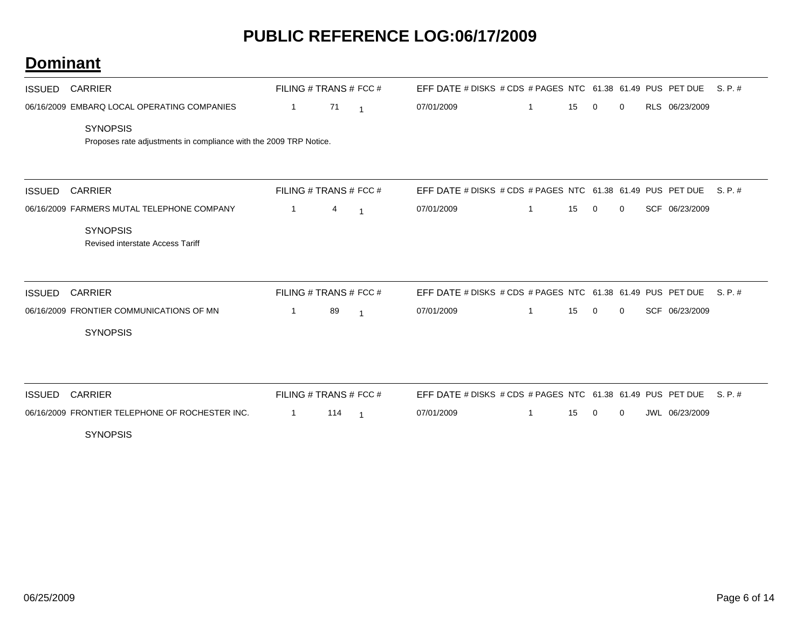| <b>ISSUED</b> | <b>CARRIER</b>                                                                       |                | FILING # TRANS # FCC # |                | EFF DATE # DISKS # CDS # PAGES NTC 61.38 61.49 PUS PET DUE |              |    |             |             |                | S. P. #  |
|---------------|--------------------------------------------------------------------------------------|----------------|------------------------|----------------|------------------------------------------------------------|--------------|----|-------------|-------------|----------------|----------|
|               | 06/16/2009 EMBARQ LOCAL OPERATING COMPANIES                                          | $\overline{1}$ | 71                     | $\overline{1}$ | 07/01/2009                                                 | $\mathbf{1}$ | 15 | $\mathbf 0$ | 0           | RLS 06/23/2009 |          |
|               | <b>SYNOPSIS</b><br>Proposes rate adjustments in compliance with the 2009 TRP Notice. |                |                        |                |                                                            |              |    |             |             |                |          |
| <b>ISSUED</b> | <b>CARRIER</b>                                                                       |                | FILING # TRANS # FCC # |                | EFF DATE # DISKS # CDS # PAGES NTC 61.38 61.49 PUS PET DUE |              |    |             |             |                | S. P. #  |
|               | 06/16/2009 FARMERS MUTAL TELEPHONE COMPANY                                           | $\mathbf{1}$   | 4                      | $\overline{1}$ | 07/01/2009                                                 | $\mathbf{1}$ | 15 | $\mathbf 0$ | $\mathbf 0$ | SCF 06/23/2009 |          |
|               | <b>SYNOPSIS</b><br><b>Revised interstate Access Tariff</b>                           |                |                        |                |                                                            |              |    |             |             |                |          |
| <b>ISSUED</b> | <b>CARRIER</b>                                                                       |                | FILING # TRANS # FCC # |                | EFF DATE # DISKS # CDS # PAGES NTC 61.38 61.49 PUS PET DUE |              |    |             |             |                | S. P. #  |
|               | 06/16/2009 FRONTIER COMMUNICATIONS OF MN                                             | $\mathbf{1}$   | 89                     | $\overline{1}$ | 07/01/2009                                                 | $\mathbf{1}$ | 15 | $\mathbf 0$ | $\mathbf 0$ | SCF 06/23/2009 |          |
|               | <b>SYNOPSIS</b>                                                                      |                |                        |                |                                                            |              |    |             |             |                |          |
| <b>ISSUED</b> | <b>CARRIER</b>                                                                       |                | FILING # TRANS # FCC # |                | EFF DATE # DISKS # CDS # PAGES NTC 61.38 61.49 PUS PET DUE |              |    |             |             |                | $S.P.$ # |
|               | 06/16/2009 FRONTIER TELEPHONE OF ROCHESTER INC.                                      | -1             | 114                    | $\overline{1}$ | 07/01/2009                                                 | 1            | 15 | 0           | 0           | JWL 06/23/2009 |          |
|               | <b>SYNOPSIS</b>                                                                      |                |                        |                |                                                            |              |    |             |             |                |          |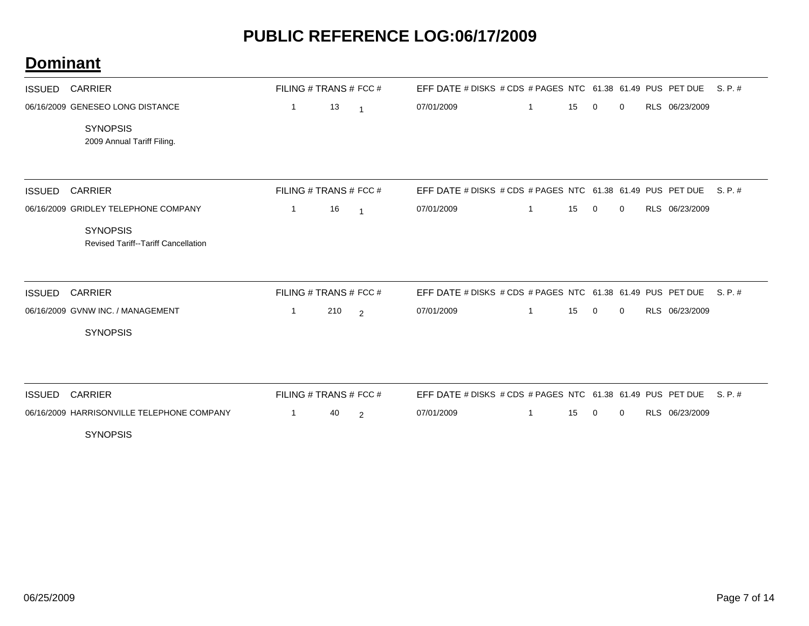| <b>ISSUED</b> | <b>CARRIER</b>                                                | FILING # TRANS # FCC # |     |                | EFF DATE # DISKS # CDS # PAGES NTC 61.38 61.49 PUS PET DUE |              |    |             |             |                | S. P. # |
|---------------|---------------------------------------------------------------|------------------------|-----|----------------|------------------------------------------------------------|--------------|----|-------------|-------------|----------------|---------|
|               | 06/16/2009 GENESEO LONG DISTANCE                              | $\mathbf{1}$           | 13  | $\overline{1}$ | 07/01/2009                                                 | $\mathbf{1}$ | 15 | $\mathbf 0$ | 0           | RLS 06/23/2009 |         |
|               | <b>SYNOPSIS</b><br>2009 Annual Tariff Filing.                 |                        |     |                |                                                            |              |    |             |             |                |         |
|               |                                                               |                        |     |                |                                                            |              |    |             |             |                |         |
| <b>ISSUED</b> | <b>CARRIER</b>                                                | FILING # TRANS # FCC # |     |                | EFF DATE # DISKS # CDS # PAGES NTC 61.38 61.49 PUS PET DUE |              |    |             |             |                | S.P.#   |
|               | 06/16/2009 GRIDLEY TELEPHONE COMPANY                          | $\mathbf{1}$           | 16  | $\overline{1}$ | 07/01/2009                                                 | -1           | 15 | $\mathbf 0$ | 0           | RLS 06/23/2009 |         |
|               | <b>SYNOPSIS</b><br><b>Revised Tariff--Tariff Cancellation</b> |                        |     |                |                                                            |              |    |             |             |                |         |
| <b>ISSUED</b> | <b>CARRIER</b>                                                | FILING # TRANS # FCC # |     |                | EFF DATE # DISKS # CDS # PAGES NTC 61.38 61.49 PUS PET DUE |              |    |             |             |                | S. P. # |
|               | 06/16/2009 GVNW INC. / MANAGEMENT                             | 1                      | 210 | 2              | 07/01/2009                                                 | -1           | 15 | 0           | $\mathbf 0$ | RLS 06/23/2009 |         |
|               | <b>SYNOPSIS</b>                                               |                        |     |                |                                                            |              |    |             |             |                |         |
| <b>ISSUED</b> | <b>CARRIER</b>                                                | FILING # TRANS # FCC # |     |                | EFF DATE # DISKS # CDS # PAGES NTC 61.38 61.49 PUS PET DUE |              |    |             |             |                | S. P. # |
|               | 06/16/2009 HARRISONVILLE TELEPHONE COMPANY                    | 1                      | 40  | 2              | 07/01/2009                                                 | 1            | 15 | 0           | $\mathbf 0$ | RLS 06/23/2009 |         |
|               | <b>SYNOPSIS</b>                                               |                        |     |                |                                                            |              |    |             |             |                |         |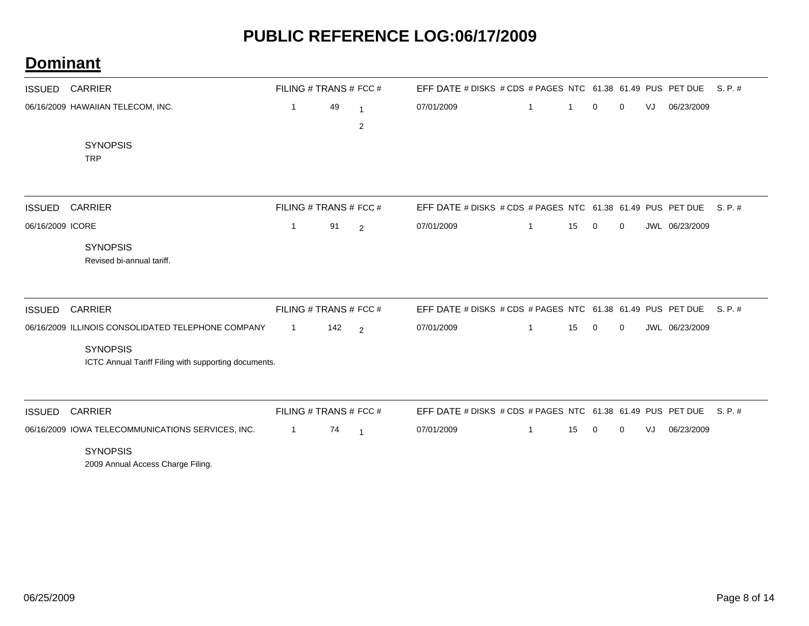| <b>ISSUED</b>    | <b>CARRIER</b>                                                                                                                | FILING # TRANS # FCC # |     |                   | EFF DATE # DISKS # CDS # PAGES NTC 61.38 61.49 PUS PET DUE |              |    |             |             |    |                | S.P.#   |
|------------------|-------------------------------------------------------------------------------------------------------------------------------|------------------------|-----|-------------------|------------------------------------------------------------|--------------|----|-------------|-------------|----|----------------|---------|
|                  | 06/16/2009 HAWAIIAN TELECOM, INC.                                                                                             | $\mathbf{1}$           | 49  | $\mathbf{1}$<br>2 | 07/01/2009                                                 | 1            |    | 0           | 0           | VJ | 06/23/2009     |         |
|                  | <b>SYNOPSIS</b><br><b>TRP</b>                                                                                                 |                        |     |                   |                                                            |              |    |             |             |    |                |         |
| <b>ISSUED</b>    | <b>CARRIER</b>                                                                                                                | FILING # TRANS # FCC # |     |                   | EFF DATE # DISKS # CDS # PAGES NTC 61.38 61.49 PUS PET DUE |              |    |             |             |    |                | S. P. # |
| 06/16/2009 ICORE | <b>SYNOPSIS</b><br>Revised bi-annual tariff.                                                                                  | $\mathbf{1}$           | 91  | 2                 | 07/01/2009                                                 | $\mathbf{1}$ | 15 | 0           | 0           |    | JWL 06/23/2009 |         |
| <b>ISSUED</b>    | <b>CARRIER</b>                                                                                                                | FILING # TRANS # FCC # |     |                   | EFF DATE # DISKS # CDS # PAGES NTC 61.38 61.49 PUS PET DUE |              |    |             |             |    |                | S. P. # |
|                  | 06/16/2009 ILLINOIS CONSOLIDATED TELEPHONE COMPANY<br><b>SYNOPSIS</b><br>ICTC Annual Tariff Filing with supporting documents. | 1                      | 142 | 2                 | 07/01/2009                                                 | $\mathbf{1}$ | 15 | $\mathbf 0$ | 0           |    | JWL 06/23/2009 |         |
| <b>ISSUED</b>    | <b>CARRIER</b>                                                                                                                | FILING # TRANS # FCC # |     |                   | EFF DATE # DISKS # CDS # PAGES NTC 61.38 61.49 PUS PET DUE |              |    |             |             |    |                | S. P. # |
|                  | 06/16/2009 IOWA TELECOMMUNICATIONS SERVICES, INC.<br><b>SYNOPSIS</b><br>2009 Annual Access Charge Filing.                     | 1                      | 74  | $\overline{1}$    | 07/01/2009                                                 | 1            | 15 | $\mathbf 0$ | $\mathbf 0$ | VJ | 06/23/2009     |         |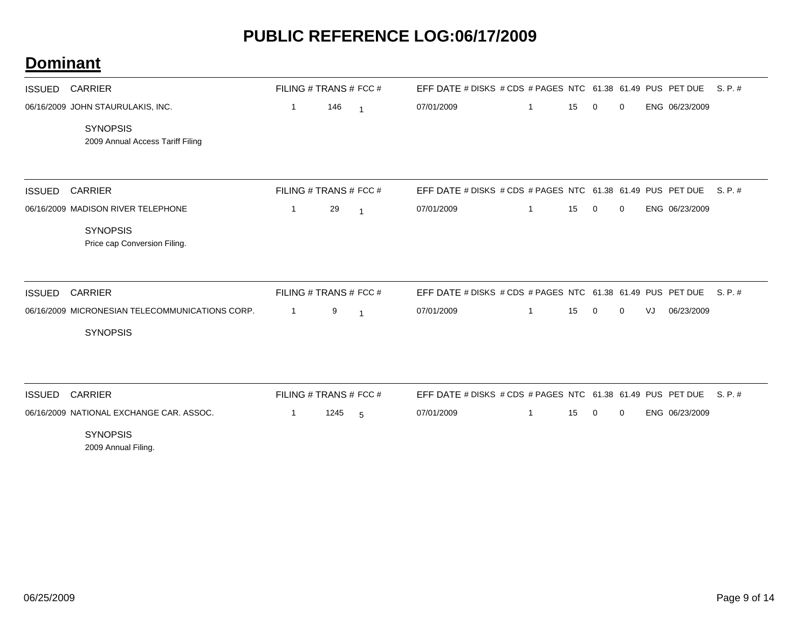| <b>ISSUED</b> | <b>CARRIER</b>                                      | FILING # TRANS # FCC # |      |                | EFF DATE # DISKS # CDS # PAGES NTC 61.38 61.49 PUS PET DUE |   |    |              |             |    |                | S.P.#   |
|---------------|-----------------------------------------------------|------------------------|------|----------------|------------------------------------------------------------|---|----|--------------|-------------|----|----------------|---------|
|               | 06/16/2009 JOHN STAURULAKIS, INC.                   | $\mathbf{1}$           | 146  | $\overline{1}$ | 07/01/2009                                                 | 1 | 15 | $\mathbf 0$  | 0           |    | ENG 06/23/2009 |         |
|               | <b>SYNOPSIS</b><br>2009 Annual Access Tariff Filing |                        |      |                |                                                            |   |    |              |             |    |                |         |
| <b>ISSUED</b> | <b>CARRIER</b>                                      | FILING # TRANS # FCC # |      |                | EFF DATE # DISKS # CDS # PAGES NTC 61.38 61.49 PUS PET DUE |   |    |              |             |    |                | S. P. # |
|               | 06/16/2009 MADISON RIVER TELEPHONE                  | 1                      | 29   | $\overline{1}$ | 07/01/2009                                                 | 1 | 15 | 0            | 0           |    | ENG 06/23/2009 |         |
|               | <b>SYNOPSIS</b><br>Price cap Conversion Filing.     |                        |      |                |                                                            |   |    |              |             |    |                |         |
| <b>ISSUED</b> | <b>CARRIER</b>                                      | FILING # TRANS # FCC # |      |                | EFF DATE # DISKS # CDS # PAGES NTC 61.38 61.49 PUS PET DUE |   |    |              |             |    |                | S. P. # |
|               | 06/16/2009 MICRONESIAN TELECOMMUNICATIONS CORP.     | 1                      | 9    | $\overline{1}$ | 07/01/2009                                                 |   | 15 | $\mathbf 0$  | 0           | VJ | 06/23/2009     |         |
|               | <b>SYNOPSIS</b>                                     |                        |      |                |                                                            |   |    |              |             |    |                |         |
| <b>ISSUED</b> | <b>CARRIER</b>                                      | FILING # TRANS # FCC # |      |                | EFF DATE # DISKS # CDS # PAGES NTC 61.38 61.49 PUS PET DUE |   |    |              |             |    |                | S. P. # |
|               | 06/16/2009 NATIONAL EXCHANGE CAR. ASSOC.            | -1                     | 1245 | 5              | 07/01/2009                                                 | 1 | 15 | $\mathbf{0}$ | $\mathbf 0$ |    | ENG 06/23/2009 |         |
|               | <b>SYNOPSIS</b><br>2009 Annual Filing.              |                        |      |                |                                                            |   |    |              |             |    |                |         |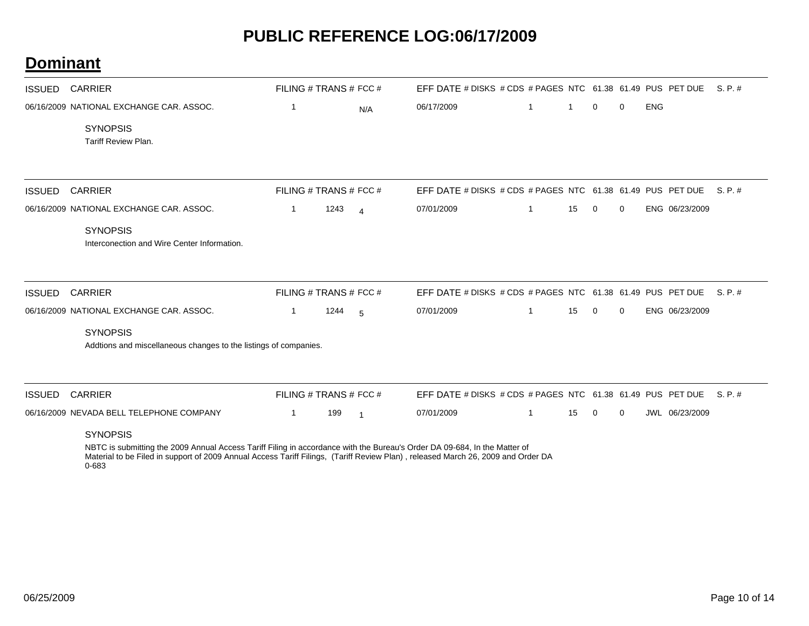#### **Dominant**

| <b>ISSUED</b> | <b>CARRIER</b>                                                                      | FILING # TRANS # FCC # |      |                | EFF DATE # DISKS # CDS # PAGES NTC 61.38 61.49 PUS PET DUE |   |              |             |             |            |                | S. P. # |
|---------------|-------------------------------------------------------------------------------------|------------------------|------|----------------|------------------------------------------------------------|---|--------------|-------------|-------------|------------|----------------|---------|
|               | 06/16/2009 NATIONAL EXCHANGE CAR, ASSOC.                                            | 1                      |      | N/A            | 06/17/2009                                                 | 1 | $\mathbf{1}$ | $\mathbf 0$ | 0           | <b>ENG</b> |                |         |
|               | <b>SYNOPSIS</b><br>Tariff Review Plan.                                              |                        |      |                |                                                            |   |              |             |             |            |                |         |
|               |                                                                                     |                        |      |                |                                                            |   |              |             |             |            |                |         |
| <b>ISSUED</b> | <b>CARRIER</b>                                                                      | FILING # TRANS # FCC # |      |                | EFF DATE # DISKS # CDS # PAGES NTC 61.38 61.49 PUS PET DUE |   |              |             |             |            |                | S. P. # |
|               | 06/16/2009 NATIONAL EXCHANGE CAR, ASSOC.                                            | $\mathbf 1$            | 1243 | $\overline{4}$ | 07/01/2009                                                 | 1 | 15           | $\mathbf 0$ | 0           |            | ENG 06/23/2009 |         |
|               | <b>SYNOPSIS</b><br>Interconection and Wire Center Information.                      |                        |      |                |                                                            |   |              |             |             |            |                |         |
| <b>ISSUED</b> | <b>CARRIER</b>                                                                      | FILING # TRANS # FCC # |      |                | EFF DATE # DISKS # CDS # PAGES NTC 61.38 61.49 PUS PET DUE |   |              |             |             |            |                | S. P. # |
|               | 06/16/2009 NATIONAL EXCHANGE CAR, ASSOC.                                            | $\mathbf 1$            | 1244 | - 5            | 07/01/2009                                                 |   | 15           | $\Omega$    | 0           |            | ENG 06/23/2009 |         |
|               | <b>SYNOPSIS</b><br>Addtions and miscellaneous changes to the listings of companies. |                        |      |                |                                                            |   |              |             |             |            |                |         |
| <b>ISSUED</b> | <b>CARRIER</b>                                                                      | FILING # TRANS # FCC # |      |                | EFF DATE # DISKS # CDS # PAGES NTC 61.38 61.49 PUS PET DUE |   |              |             |             |            |                | S. P. # |
|               | 06/16/2009 NEVADA BELL TELEPHONE COMPANY                                            | 1.                     | 199  | $\overline{1}$ | 07/01/2009                                                 |   | 15           | 0           | $\mathbf 0$ |            | JWL 06/23/2009 |         |
|               | <b>SYNOPSIS</b>                                                                     |                        |      |                |                                                            |   |              |             |             |            |                |         |

NBTC is submitting the 2009 Annual Access Tariff Filing in accordance with the Bureau's Order DA 09-684, In the Matter of Material to be Filed in support of 2009 Annual Access Tariff Filings, (Tariff Review Plan) , released March 26, 2009 and Order DA 0-683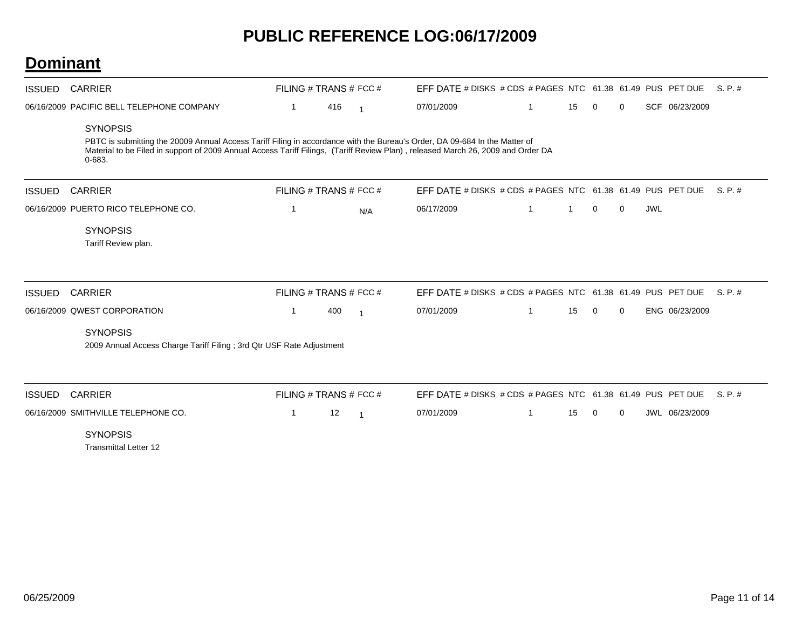| <b>ISSUED</b> | <b>CARRIER</b>                                                                                                                                                                                                                                                                                  | FILING # TRANS # FCC # |     |                | EFF DATE # DISKS # CDS # PAGES NTC 61.38 61.49 PUS PET DUE |    |    |             |             |            |                | $S. P. \#$ |
|---------------|-------------------------------------------------------------------------------------------------------------------------------------------------------------------------------------------------------------------------------------------------------------------------------------------------|------------------------|-----|----------------|------------------------------------------------------------|----|----|-------------|-------------|------------|----------------|------------|
|               | 06/16/2009 PACIFIC BELL TELEPHONE COMPANY                                                                                                                                                                                                                                                       | 1                      | 416 | $\overline{1}$ | 07/01/2009                                                 |    | 15 | 0           | $\mathbf 0$ |            | SCF 06/23/2009 |            |
|               | <b>SYNOPSIS</b><br>PBTC is submitting the 20009 Annual Access Tariff Filing in accordance with the Bureau's Order, DA 09-684 In the Matter of<br>Material to be Filed in support of 2009 Annual Access Tariff Filings, (Tariff Review Plan), released March 26, 2009 and Order DA<br>$0 - 683.$ |                        |     |                |                                                            |    |    |             |             |            |                |            |
| <b>ISSUED</b> | <b>CARRIER</b>                                                                                                                                                                                                                                                                                  | FILING # TRANS # FCC # |     |                | EFF DATE # DISKS # CDS # PAGES NTC 61.38 61.49 PUS PET DUE |    |    |             |             |            |                | S. P. #    |
|               | 06/16/2009 PUERTO RICO TELEPHONE CO.                                                                                                                                                                                                                                                            | 1                      |     | N/A            | 06/17/2009                                                 | -1 | 1  | $\mathbf 0$ | $\mathbf 0$ | <b>JWL</b> |                |            |
|               | <b>SYNOPSIS</b><br>Tariff Review plan.                                                                                                                                                                                                                                                          |                        |     |                |                                                            |    |    |             |             |            |                |            |
| <b>ISSUED</b> | <b>CARRIER</b>                                                                                                                                                                                                                                                                                  | FILING # TRANS # FCC # |     |                | EFF DATE # DISKS # CDS # PAGES NTC 61.38 61.49 PUS PET DUE |    |    |             |             |            |                | $S.P.$ #   |
|               | 06/16/2009 QWEST CORPORATION                                                                                                                                                                                                                                                                    | 1                      | 400 | -1             | 07/01/2009                                                 | -1 | 15 | $\mathbf 0$ | $\mathbf 0$ |            | ENG 06/23/2009 |            |
|               | <b>SYNOPSIS</b><br>2009 Annual Access Charge Tariff Filing ; 3rd Qtr USF Rate Adjustment                                                                                                                                                                                                        |                        |     |                |                                                            |    |    |             |             |            |                |            |
| <b>ISSUED</b> | <b>CARRIER</b>                                                                                                                                                                                                                                                                                  | FILING # TRANS # FCC # |     |                | EFF DATE # DISKS # CDS # PAGES NTC 61.38 61.49 PUS PET DUE |    |    |             |             |            |                | S. P. #    |
|               | 06/16/2009 SMITHVILLE TELEPHONE CO.                                                                                                                                                                                                                                                             | 1                      | 12  | - 1            | 07/01/2009                                                 | 1  | 15 | 0           | 0           |            | JWL 06/23/2009 |            |
|               | <b>SYNOPSIS</b><br><b>Transmittal Letter 12</b>                                                                                                                                                                                                                                                 |                        |     |                |                                                            |    |    |             |             |            |                |            |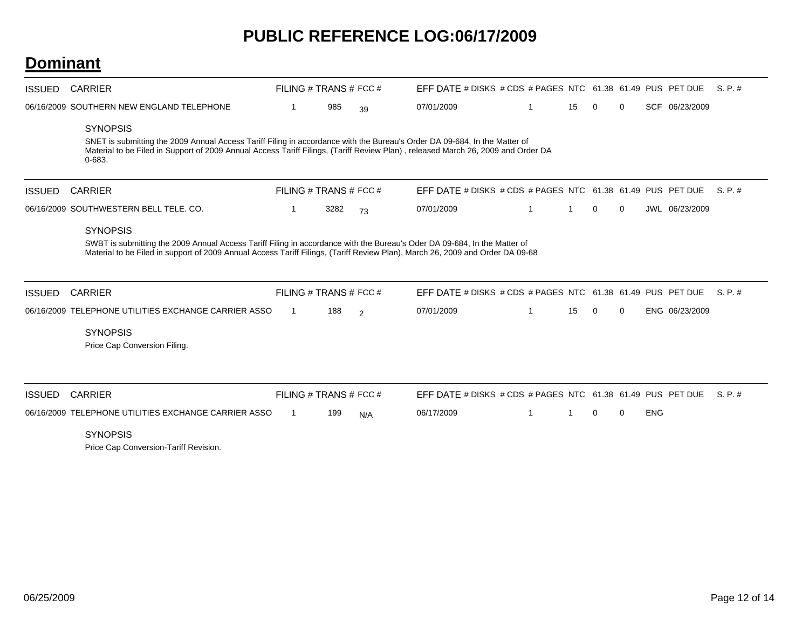#### **Dominant**

| <b>ISSUED</b> | <b>CARRIER</b>                                                                                                                                                                                                                                                                                 |    | FILING # TRANS # FCC # |     | EFF DATE # DISKS # CDS # PAGES NTC 61.38 61.49 PUS PET DUE |    |             |             |            |                | S. P. #  |
|---------------|------------------------------------------------------------------------------------------------------------------------------------------------------------------------------------------------------------------------------------------------------------------------------------------------|----|------------------------|-----|------------------------------------------------------------|----|-------------|-------------|------------|----------------|----------|
|               | 06/16/2009 SOUTHERN NEW ENGLAND TELEPHONE                                                                                                                                                                                                                                                      | -1 | 985                    | 39  | 07/01/2009                                                 | 15 | $\mathbf 0$ | $\mathbf 0$ |            | SCF 06/23/2009 |          |
|               | <b>SYNOPSIS</b><br>SNET is submitting the 2009 Annual Access Tariff Filing in accordance with the Bureau's Order DA 09-684, In the Matter of<br>Material to be Filed in Support of 2009 Annual Access Tariff Filings, (Tariff Review Plan), released March 26, 2009 and Order DA<br>$0 - 683.$ |    |                        |     |                                                            |    |             |             |            |                |          |
| <b>ISSUED</b> | <b>CARRIER</b>                                                                                                                                                                                                                                                                                 |    | FILING # TRANS # FCC # |     | EFF DATE # DISKS # CDS # PAGES NTC 61.38 61.49 PUS PET DUE |    |             |             |            |                | S. P. #  |
|               | 06/16/2009 SOUTHWESTERN BELL TELE. CO.                                                                                                                                                                                                                                                         | 1  | 3282                   | 73  | 07/01/2009                                                 | 1  | $\mathbf 0$ | $\mathbf 0$ |            | JWL 06/23/2009 |          |
|               | <b>SYNOPSIS</b><br>SWBT is submitting the 2009 Annual Access Tariff Filing in accordance with the Bureau's Oder DA 09-684, In the Matter of<br>Material to be Filed in support of 2009 Annual Access Tariff Filings, (Tariff Review Plan), March 26, 2009 and Order DA 09-68                   |    |                        |     |                                                            |    |             |             |            |                |          |
| <b>ISSUED</b> | <b>CARRIER</b>                                                                                                                                                                                                                                                                                 |    | FILING # TRANS # FCC # |     | EFF DATE # DISKS # CDS # PAGES NTC 61.38 61.49 PUS PET DUE |    |             |             |            |                | $S.P.$ # |
|               | 06/16/2009 TELEPHONE UTILITIES EXCHANGE CARRIER ASSO<br><b>SYNOPSIS</b><br>Price Cap Conversion Filing.                                                                                                                                                                                        |    | 188                    | 2   | 07/01/2009                                                 | 15 | 0           | $\mathbf 0$ |            | ENG 06/23/2009 |          |
| <b>ISSUED</b> | <b>CARRIER</b>                                                                                                                                                                                                                                                                                 |    | FILING # TRANS # FCC # |     | EFF DATE # DISKS # CDS # PAGES NTC 61.38 61.49 PUS PET DUE |    |             |             |            |                | S. P. #  |
|               | 06/16/2009 TELEPHONE UTILITIES EXCHANGE CARRIER ASSO<br><b>SYNOPSIS</b>                                                                                                                                                                                                                        |    | 199                    | N/A | 06/17/2009                                                 |    | $\Omega$    | $\Omega$    | <b>ENG</b> |                |          |

Price Cap Conversion-Tariff Revision.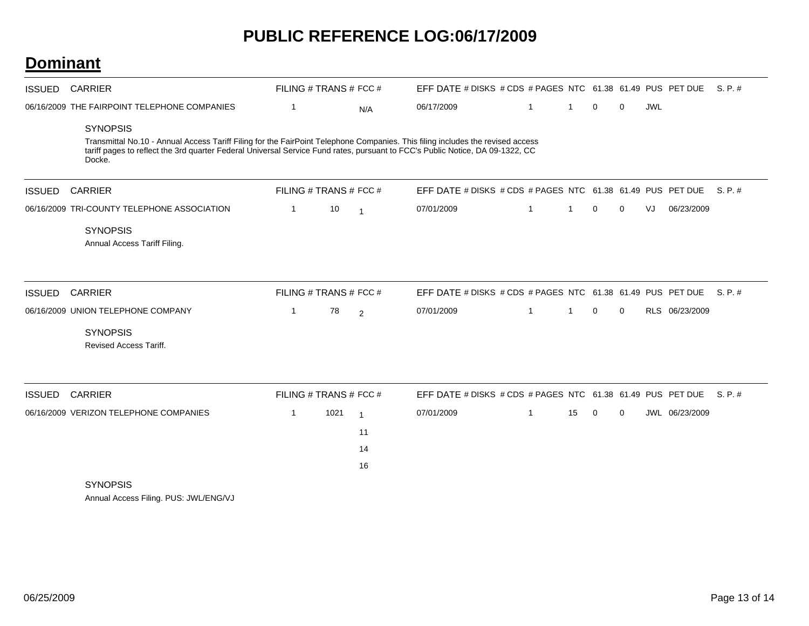| <b>ISSUED</b> | <b>CARRIER</b>                                                                                                                                                                                                                                                                                                                               | FILING # TRANS # FCC #                 |      |                                  | EFF DATE # DISKS # CDS # PAGES NTC 61.38 61.49 PUS PET DUE S. P. #       |    |    |             |             |            |                |         |
|---------------|----------------------------------------------------------------------------------------------------------------------------------------------------------------------------------------------------------------------------------------------------------------------------------------------------------------------------------------------|----------------------------------------|------|----------------------------------|--------------------------------------------------------------------------|----|----|-------------|-------------|------------|----------------|---------|
|               | 06/16/2009 THE FAIRPOINT TELEPHONE COMPANIES<br><b>SYNOPSIS</b><br>Transmittal No.10 - Annual Access Tariff Filing for the FairPoint Telephone Companies. This filing includes the revised access<br>tariff pages to reflect the 3rd quarter Federal Universal Service Fund rates, pursuant to FCC's Public Notice, DA 09-1322, CC<br>Docke. | $\mathbf{1}$                           |      | N/A                              | 06/17/2009                                                               | -1 | -1 | 0           | $\mathbf 0$ | <b>JWL</b> |                |         |
| <b>ISSUED</b> | <b>CARRIER</b>                                                                                                                                                                                                                                                                                                                               | FILING # TRANS # FCC #                 |      |                                  | EFF DATE # DISKS # CDS # PAGES NTC 61.38 61.49 PUS PET DUE               |    |    |             |             |            |                | S.P.#   |
|               | 06/16/2009 TRI-COUNTY TELEPHONE ASSOCIATION<br><b>SYNOPSIS</b><br>Annual Access Tariff Filing.                                                                                                                                                                                                                                               | $\mathbf 1$                            | 10   | $\overline{1}$                   | 07/01/2009                                                               | 1  | 1  | $\mathbf 0$ | $\Omega$    | VJ         | 06/23/2009     |         |
| <b>ISSUED</b> | <b>CARRIER</b><br>06/16/2009 UNION TELEPHONE COMPANY<br><b>SYNOPSIS</b>                                                                                                                                                                                                                                                                      | FILING # TRANS # FCC #<br>$\mathbf{1}$ | 78   | 2                                | EFF DATE # DISKS # CDS # PAGES NTC 61.38 61.49 PUS PET DUE<br>07/01/2009 | 1  | 1  | 0           | $\mathbf 0$ |            | RLS 06/23/2009 | S.P.#   |
| <b>ISSUED</b> | Revised Access Tariff.<br><b>CARRIER</b>                                                                                                                                                                                                                                                                                                     | FILING # TRANS # FCC #                 |      |                                  | EFF DATE # DISKS # CDS # PAGES NTC 61.38 61.49 PUS PET DUE               |    |    |             |             |            |                | S. P. # |
|               | 06/16/2009 VERIZON TELEPHONE COMPANIES<br><b>SYNOPSIS</b>                                                                                                                                                                                                                                                                                    | $\mathbf{1}$                           | 1021 | $\overline{1}$<br>11<br>14<br>16 | 07/01/2009                                                               | -1 | 15 | $\mathbf 0$ | $\mathbf 0$ |            | JWL 06/23/2009 |         |
|               | Annual Access Filing. PUS: JWL/ENG/VJ                                                                                                                                                                                                                                                                                                        |                                        |      |                                  |                                                                          |    |    |             |             |            |                |         |